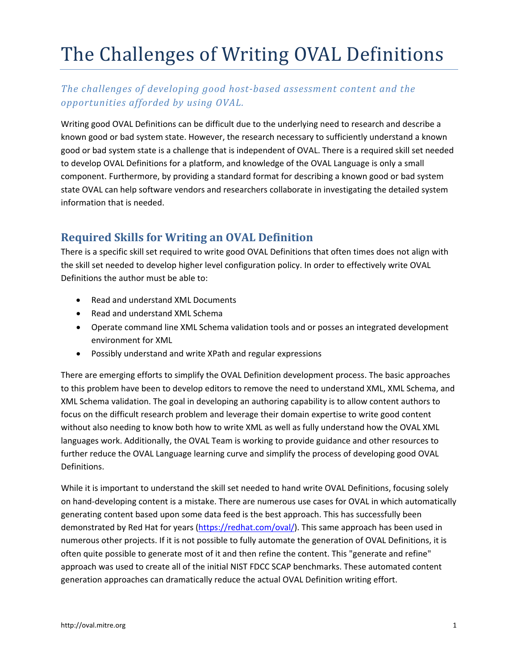# The Challenges of Writing OVAL Definitions

#### *The challenges of developing good hostbased assessment content and the opportunities afforded by using OVAL.*

Writing good OVAL Definitions can be difficult due to the underlying need to research and describe a known good or bad system state. However, the research necessary to sufficiently understand a known good or bad system state is a challenge that is independent of OVAL. There is a required skill set needed to develop OVAL Definitions for a platform, and knowledge of the OVAL Language is only a small component. Furthermore, by providing a standard format for describing a known good or bad system state OVAL can help software vendors and researchers collaborate in investigating the detailed system information that is needed.

## **Required Skills for Writing an OVAL Definition**

There is a specific skill set required to write good OVAL Definitions that often times does not align with the skill set needed to develop higher level configuration policy. In order to effectively write OVAL Definitions the author must be able to:

- Read and understand XML Documents
- Read and understand XML Schema
- Operate command line XML Schema validation tools and or posses an integrated development environment for XML
- Possibly understand and write XPath and regular expressions

There are emerging efforts to simplify the OVAL Definition development process. The basic approaches to this problem have been to develop editors to remove the need to understand XML, XML Schema, and XML Schema validation. The goal in developing an authoring capability is to allow content authors to focus on the difficult research problem and leverage their domain expertise to write good content without also needing to know both how to write XML as well as fully understand how the OVAL XML languages work. Additionally, the OVAL Team is working to provide guidance and other resources to further reduce the OVAL Language learning curve and simplify the process of developing good OVAL Definitions.

While it is important to understand the skill set needed to hand write OVAL Definitions, focusing solely on hand‐developing content is a mistake. There are numerous use cases for OVAL in which automatically generating content based upon some data feed is the best approach. This has successfully been demonstrated by Red Hat for years [\(https://redhat.com/oval/](https://redhat.com/oval/)). This same approach has been used in numerous other projects. If it is not possible to fully automate the generation of OVAL Definitions, it is often quite possible to generate most of it and then refine the content. This "generate and refine" approach was used to create all of the initial NIST FDCC SCAP benchmarks. These automated content generation approaches can dramatically reduce the actual OVAL Definition writing effort.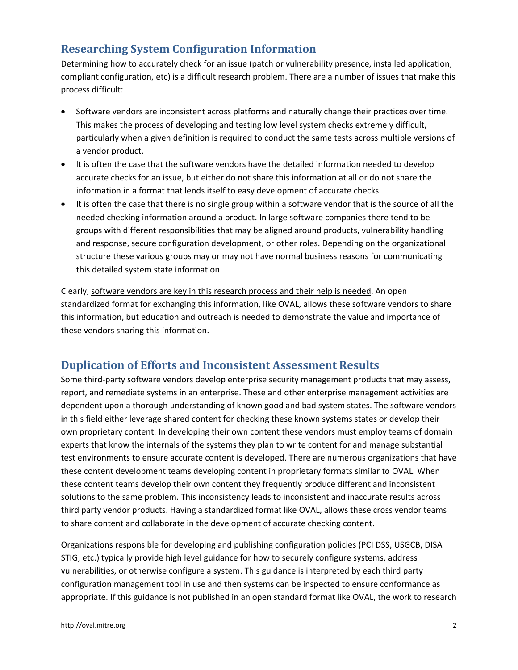## **Researching System Configuration Information**

Determining how to accurately check for an issue (patch or vulnerability presence, installed application, compliant configuration, etc) is a difficult research problem. There are a number of issues that make this process difficult:

- Software vendors are inconsistent across platforms and naturally change their practices over time. This makes the process of developing and testing low level system checks extremely difficult, particularly when a given definition is required to conduct the same tests across multiple versions of a vendor product.
- It is often the case that the software vendors have the detailed information needed to develop accurate checks for an issue, but either do not share this information at all or do not share the information in a format that lends itself to easy development of accurate checks.
- It is often the case that there is no single group within a software vendor that is the source of all the needed checking information around a product. In large software companies there tend to be groups with different responsibilities that may be aligned around products, vulnerability handling and response, secure configuration development, or other roles. Depending on the organizational structure these various groups may or may not have normal business reasons for communicating this detailed system state information.

Clearly, software vendors are key in this research process and their help is needed. An open standardized format for exchanging this information, like OVAL, allows these software vendors to share this information, but education and outreach is needed to demonstrate the value and importance of these vendors sharing this information.

#### **Duplication of Efforts and Inconsistent Assessment Results**

Some third-party software vendors develop enterprise security management products that may assess, report, and remediate systems in an enterprise. These and other enterprise management activities are dependent upon a thorough understanding of known good and bad system states. The software vendors in this field either leverage shared content for checking these known systems states or develop their own proprietary content. In developing their own content these vendors must employ teams of domain experts that know the internals of the systems they plan to write content for and manage substantial test environments to ensure accurate content is developed. There are numerous organizations that have these content development teams developing content in proprietary formats similar to OVAL. When these content teams develop their own content they frequently produce different and inconsistent solutions to the same problem. This inconsistency leads to inconsistent and inaccurate results across third party vendor products. Having a standardized format like OVAL, allows these cross vendor teams to share content and collaborate in the development of accurate checking content.

Organizations responsible for developing and publishing configuration policies (PCI DSS, USGCB, DISA STIG, etc.) typically provide high level guidance for how to securely configure systems, address vulnerabilities, or otherwise configure a system. This guidance is interpreted by each third party configuration management tool in use and then systems can be inspected to ensure conformance as appropriate. If this guidance is not published in an open standard format like OVAL, the work to research